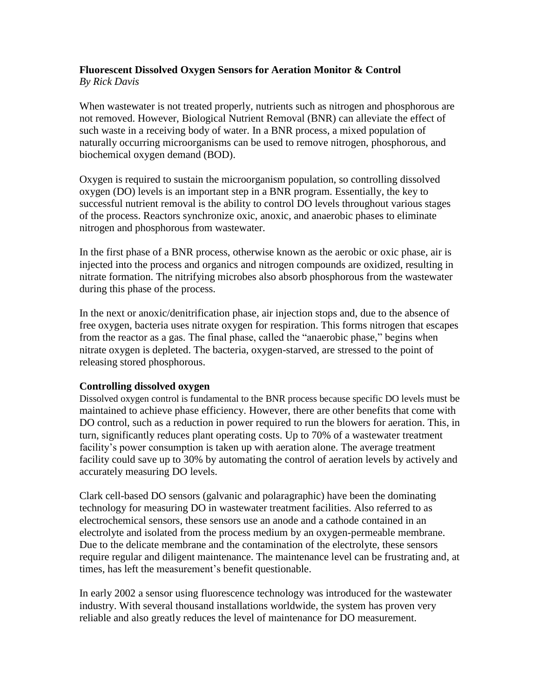#### **Fluorescent Dissolved Oxygen Sensors for Aeration Monitor & Control** *By Rick Davis*

When wastewater is not treated properly, nutrients such as nitrogen and phosphorous are not removed. However, Biological Nutrient Removal (BNR) can alleviate the effect of such waste in a receiving body of water. In a BNR process, a mixed population of naturally occurring microorganisms can be used to remove nitrogen, phosphorous, and biochemical oxygen demand (BOD).

Oxygen is required to sustain the microorganism population, so controlling dissolved oxygen (DO) levels is an important step in a BNR program. Essentially, the key to successful nutrient removal is the ability to control DO levels throughout various stages of the process. Reactors synchronize oxic, anoxic, and anaerobic phases to eliminate nitrogen and phosphorous from wastewater.

In the first phase of a BNR process, otherwise known as the aerobic or oxic phase, air is injected into the process and organics and nitrogen compounds are oxidized, resulting in nitrate formation. The nitrifying microbes also absorb phosphorous from the wastewater during this phase of the process.

In the next or anoxic/denitrification phase, air injection stops and, due to the absence of free oxygen, bacteria uses nitrate oxygen for respiration. This forms nitrogen that escapes from the reactor as a gas. The final phase, called the "anaerobic phase," begins when nitrate oxygen is depleted. The bacteria, oxygen-starved, are stressed to the point of releasing stored phosphorous.

### **Controlling dissolved oxygen**

Dissolved oxygen control is fundamental to the BNR process because specific DO levels must be maintained to achieve phase efficiency. However, there are other benefits that come with DO control, such as a reduction in power required to run the blowers for aeration. This, in turn, significantly reduces plant operating costs. Up to 70% of a wastewater treatment facility's power consumption is taken up with aeration alone. The average treatment facility could save up to 30% by automating the control of aeration levels by actively and accurately measuring DO levels.

Clark cell-based DO sensors (galvanic and polaragraphic) have been the dominating technology for measuring DO in wastewater treatment facilities. Also referred to as electrochemical sensors, these sensors use an anode and a cathode contained in an electrolyte and isolated from the process medium by an oxygen-permeable membrane. Due to the delicate membrane and the contamination of the electrolyte, these sensors require regular and diligent maintenance. The maintenance level can be frustrating and, at times, has left the measurement's benefit questionable.

In early 2002 a sensor using fluorescence technology was introduced for the wastewater industry. With several thousand installations worldwide, the system has proven very reliable and also greatly reduces the level of maintenance for DO measurement.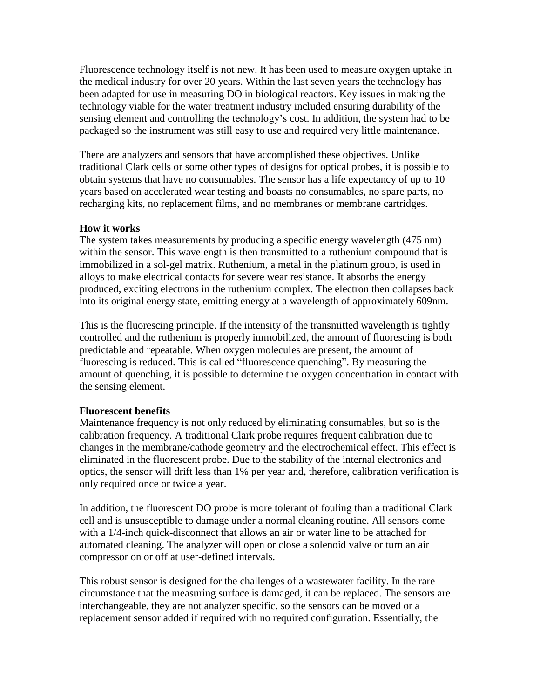Fluorescence technology itself is not new. It has been used to measure oxygen uptake in the medical industry for over 20 years. Within the last seven years the technology has been adapted for use in measuring DO in biological reactors. Key issues in making the technology viable for the water treatment industry included ensuring durability of the sensing element and controlling the technology's cost. In addition, the system had to be packaged so the instrument was still easy to use and required very little maintenance.

There are analyzers and sensors that have accomplished these objectives. Unlike traditional Clark cells or some other types of designs for optical probes, it is possible to obtain systems that have no consumables. The sensor has a life expectancy of up to 10 years based on accelerated wear testing and boasts no consumables, no spare parts, no recharging kits, no replacement films, and no membranes or membrane cartridges.

## **How it works**

The system takes measurements by producing a specific energy wavelength (475 nm) within the sensor. This wavelength is then transmitted to a ruthenium compound that is immobilized in a sol-gel matrix. Ruthenium, a metal in the platinum group, is used in alloys to make electrical contacts for severe wear resistance. It absorbs the energy produced, exciting electrons in the ruthenium complex. The electron then collapses back into its original energy state, emitting energy at a wavelength of approximately 609nm.

This is the fluorescing principle. If the intensity of the transmitted wavelength is tightly controlled and the ruthenium is properly immobilized, the amount of fluorescing is both predictable and repeatable. When oxygen molecules are present, the amount of fluorescing is reduced. This is called "fluorescence quenching". By measuring the amount of quenching, it is possible to determine the oxygen concentration in contact with the sensing element.

### **Fluorescent benefits**

Maintenance frequency is not only reduced by eliminating consumables, but so is the calibration frequency. A traditional Clark probe requires frequent calibration due to changes in the membrane/cathode geometry and the electrochemical effect. This effect is eliminated in the fluorescent probe. Due to the stability of the internal electronics and optics, the sensor will drift less than 1% per year and, therefore, calibration verification is only required once or twice a year.

In addition, the fluorescent DO probe is more tolerant of fouling than a traditional Clark cell and is unsusceptible to damage under a normal cleaning routine. All sensors come with a 1/4-inch quick-disconnect that allows an air or water line to be attached for automated cleaning. The analyzer will open or close a solenoid valve or turn an air compressor on or off at user-defined intervals.

This robust sensor is designed for the challenges of a wastewater facility. In the rare circumstance that the measuring surface is damaged, it can be replaced. The sensors are interchangeable, they are not analyzer specific, so the sensors can be moved or a replacement sensor added if required with no required configuration. Essentially, the